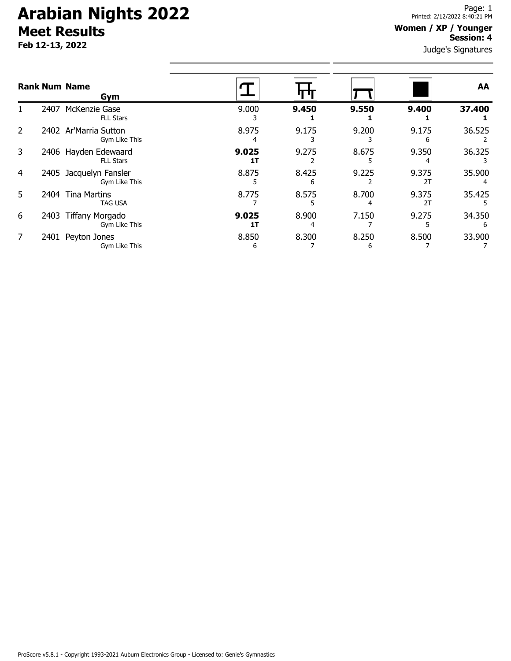# **Arabian Nights 2022 Meet Results**

**Feb 12-13, 2022**

### **Women / XP / Younger Session: 4**

Judge's Signatures

|                |      | <b>Rank Num Name</b><br>Gym              |             |            |            |             | AA     |
|----------------|------|------------------------------------------|-------------|------------|------------|-------------|--------|
|                | 2407 | McKenzie Gase<br><b>FLL Stars</b>        | 9.000       | 9.450      | 9.550      | 9.400       | 37.400 |
| $\overline{2}$ |      | 2402 Ar'Marria Sutton<br>Gym Like This   | 8.975<br>4  | 9.175      | 9.200      | 9.175<br>h  | 36.525 |
| 3              |      | 2406 Hayden Edewaard<br><b>FLL Stars</b> | 9.025<br>1T | 9.275      | 8.675      | 9.350       | 36.325 |
| 4              | 2405 | Jacquelyn Fansler<br>Gym Like This       | 8.875       | 8.425<br>6 | 9.225      | 9.375<br>2T | 35.900 |
| 5.             | 2404 | <b>Tina Martins</b><br><b>TAG USA</b>    | 8.775       | 8.575      | 8.700      | 9.375<br>2T | 35.425 |
| 6              | 2403 | <b>Tiffany Morgado</b><br>Gym Like This  | 9.025<br>1T | 8.900<br>4 | 7.150      | 9.275       | 34.350 |
| 7              |      | 2401 Peyton Jones<br>Gym Like This       | 8.850<br>6  | 8.300      | 8.250<br>b | 8.500       | 33.900 |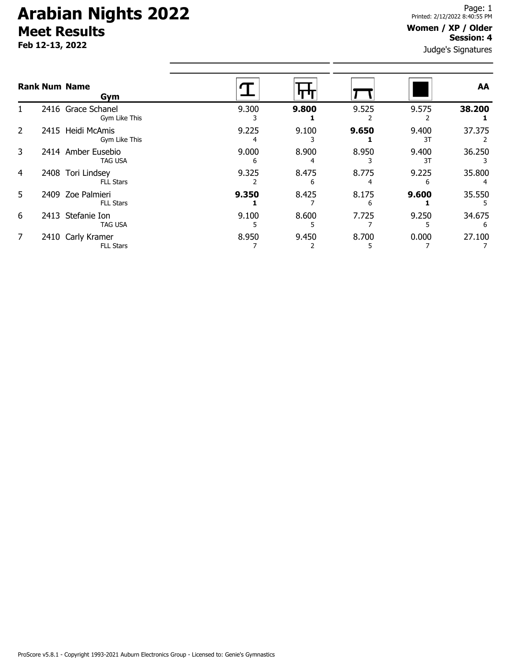# **Arabian Nights 2022 Meet Results**

**Feb 12-13, 2022**

#### **Women / XP / Older Session: 4**

Judge's Signatures

|    | <b>Rank Num Name</b><br>Gym           |            |            |            |             | AA          |
|----|---------------------------------------|------------|------------|------------|-------------|-------------|
|    | 2416 Grace Schanel<br>Gym Like This   | 9.300      | 9.800      | 9.525      | 9.575       | 38.200      |
| 2  | 2415 Heidi McAmis<br>Gym Like This    | 9.225      | 9.100      | 9.650      | 9.400<br>3T | 37.375      |
| 3  | 2414 Amber Eusebio<br><b>TAG USA</b>  | 9.000<br>6 | 8.900      | 8.950      | 9.400<br>3T | 36.250      |
| 4  | 2408 Tori Lindsey<br><b>FLL Stars</b> | 9.325      | 8.475<br>6 | 8.775      | 9.225       | 35.800      |
| 5. | 2409 Zoe Palmieri<br><b>FLL Stars</b> | 9.350      | 8.425      | 8.175<br>6 | 9.600       | 35.550      |
| 6  | 2413 Stefanie Ion<br><b>TAG USA</b>   | 9.100      | 8.600      | 7.725      | 9.250       | 34.675<br>6 |
|    | 2410 Carly Kramer<br><b>FLL Stars</b> | 8.950      | 9.450      | 8.700      | 0.000       | 27.100      |